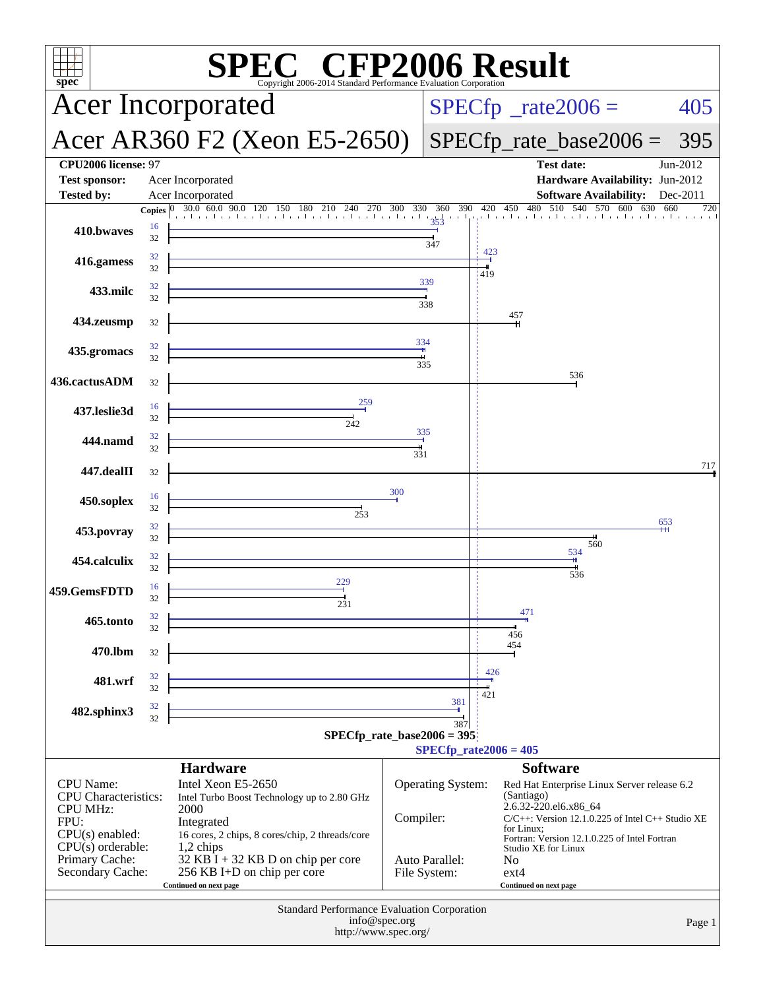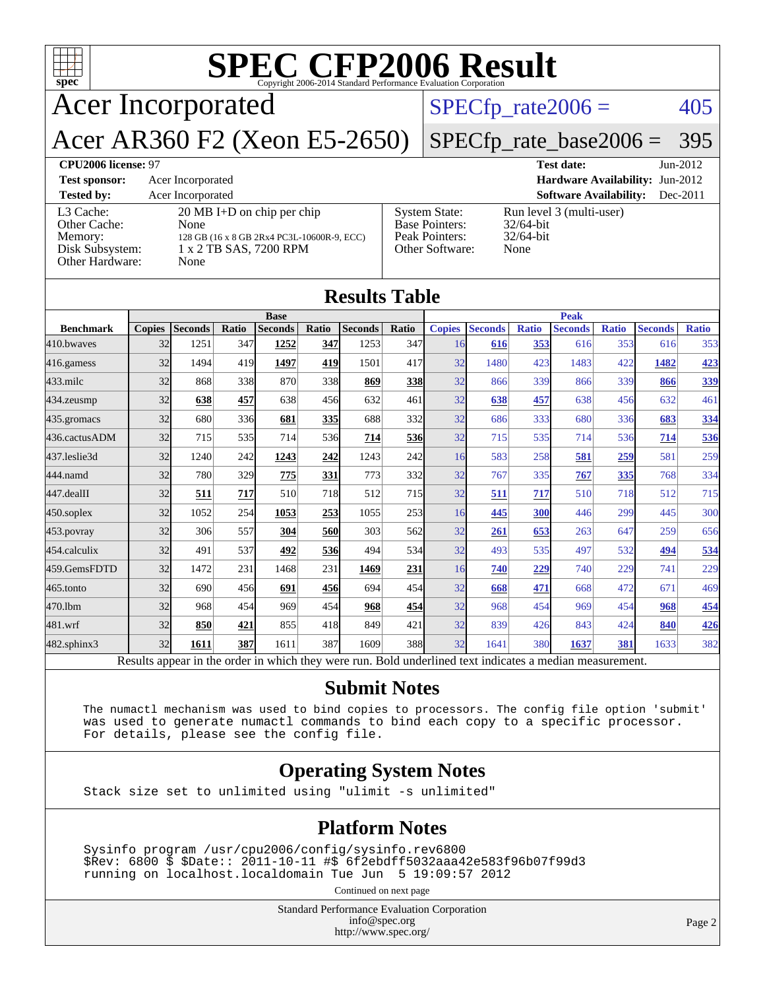| <b>SPEC CFP2006 Result</b><br>$\mathbf{Spec}^*$<br>Copyright 2006-2014 Standard Performance Evaluation Corporation |                                                                                                                              |  |                                                                             |                                                                  |            |  |  |
|--------------------------------------------------------------------------------------------------------------------|------------------------------------------------------------------------------------------------------------------------------|--|-----------------------------------------------------------------------------|------------------------------------------------------------------|------------|--|--|
|                                                                                                                    | <b>Acer Incorporated</b>                                                                                                     |  |                                                                             | $SPECfp_{rate}2006 =$                                            |            |  |  |
| Acer AR360 F2 (Xeon E5-2650)<br>$SPECfp_rate\_base2006 =$<br>395                                                   |                                                                                                                              |  |                                                                             |                                                                  |            |  |  |
| <b>CPU2006 license: 97</b>                                                                                         |                                                                                                                              |  |                                                                             | <b>Test date:</b>                                                | $Jun-2012$ |  |  |
| <b>Test sponsor:</b>                                                                                               | Acer Incorporated                                                                                                            |  |                                                                             | Hardware Availability: Jun-2012                                  |            |  |  |
| <b>Tested by:</b>                                                                                                  | Acer Incorporated                                                                                                            |  |                                                                             | <b>Software Availability:</b>                                    | $Dec-2011$ |  |  |
| L <sub>3</sub> Cache:<br>Other Cache:<br>Memory:<br>Disk Subsystem:<br>Other Hardware:                             | $20 \text{ MB I+D}$ on chip per chip<br>None<br>128 GB (16 x 8 GB 2Rx4 PC3L-10600R-9, ECC)<br>1 x 2 TB SAS, 7200 RPM<br>None |  | <b>System State:</b><br>Base Pointers:<br>Peak Pointers:<br>Other Software: | Run level 3 (multi-user)<br>$32/64$ -bit<br>$32/64$ -bit<br>None |            |  |  |
| <b>Results Table</b>                                                                                               |                                                                                                                              |  |                                                                             |                                                                  |            |  |  |

|                                                                                                          | <b>Base</b>   |                |            |                | <b>Peak</b> |                |            |               |                |              |                |              |                |              |
|----------------------------------------------------------------------------------------------------------|---------------|----------------|------------|----------------|-------------|----------------|------------|---------------|----------------|--------------|----------------|--------------|----------------|--------------|
| <b>Benchmark</b>                                                                                         | <b>Copies</b> | <b>Seconds</b> | Ratio      | <b>Seconds</b> | Ratio       | <b>Seconds</b> | Ratio      | <b>Copies</b> | <b>Seconds</b> | <b>Ratio</b> | <b>Seconds</b> | <b>Ratio</b> | <b>Seconds</b> | <b>Ratio</b> |
| 410.bwayes                                                                                               | 32            | 1251           | 347        | 1252           | 347         | 1253           | 347        | 16            | 616            | 353          | 616            | 353          | 616            | 353          |
| 416.gamess                                                                                               | 32            | 1494           | 419        | 1497           | 419         | 1501           | 417        | 32            | 1480           | 423          | 1483           | 422          | 1482           | 423          |
| $433$ .milc                                                                                              | 32            | 868            | <b>338</b> | 870            | 338         | 869            | <b>338</b> | 32            | 866            | 339          | 866            | 339          | 866            | 339          |
| 434.zeusmp                                                                                               | 32            | 638            | 457        | 638            | 456         | 632            | 461        | 32            | 638            | 457          | 638            | 456          | 632            | 461          |
| 435.gromacs                                                                                              | 32            | 680            | 336        | 681            | 335         | 688            | 332        | 32            | 686            | 333          | 680            | 336          | 683            | 334          |
| 436.cactusADM                                                                                            | 32            | 715            | 535        | 714            | 536         | 714            | 536        | 32            | 715            | 535          | 714            | 536          | 714            | 536          |
| 437.leslie3d                                                                                             | 32            | 1240           | 242        | 1243           | 242         | 1243           | 242        | 16            | 583            | 258          | 581            | 259          | 581            | 259          |
| 444.namd                                                                                                 | 32            | 780            | 329        | 775            | 331         | 773            | 332l       | 32            | 767            | 335          | 767            | 335          | 768            | 334          |
| 447.dealII                                                                                               | 32            | 511            | 717        | 510            | <b>718</b>  | 512            | 715        | 32            | 511            | 717          | 510            | 718          | 512            | 715          |
| $450$ .soplex                                                                                            | 32            | 1052           | 254        | 1053           | 253         | 1055           | 253        | 16            | 445            | 300          | 446            | 299          | 445            | 300          |
| 453.povray                                                                                               | 32            | 306            | 557        | 304            | <b>560</b>  | 303            | 562        | 32            | 261            | 653          | 263            | 647          | 259            | 656          |
| 454.calculix                                                                                             | 32            | 491            | 537        | 492            | 536         | 494            | 534        | 32            | 493            | 535          | 497            | 532          | 494            | 534          |
| 459.GemsFDTD                                                                                             | 32            | 1472           | 231        | 1468           | 231         | 1469           | <b>231</b> | 16            | 740            | 229          | 740            | 229          | 741            | 229          |
| 465.tonto                                                                                                | 32            | 690            | 456        | 691            | 456         | 694            | 454        | 32            | 668            | 471          | 668            | 472          | 671            | 469          |
| 470.1bm                                                                                                  | 32            | 968            | 454        | 969            | 454         | 968            | 454        | 32            | 968            | 454          | 969            | 454          | 968            | 454          |
| 481.wrf                                                                                                  | 32            | 850            | 421        | 855            | 418         | 849            | 421        | 32            | 839            | 426          | 843            | 424          | 840            | 426          |
| $482$ .sphinx $3$                                                                                        | 32            | 1611           | 387        | 1611           | 387         | 1609           | 388        | 32            | 1641           | 380          | 1637           | 381          | 1633           | 382          |
| Results appear in the order in which they were run. Bold underlined text indicates a median measurement. |               |                |            |                |             |                |            |               |                |              |                |              |                |              |

#### **[Submit Notes](http://www.spec.org/auto/cpu2006/Docs/result-fields.html#SubmitNotes)**

 The numactl mechanism was used to bind copies to processors. The config file option 'submit' was used to generate numactl commands to bind each copy to a specific processor. For details, please see the config file.

#### **[Operating System Notes](http://www.spec.org/auto/cpu2006/Docs/result-fields.html#OperatingSystemNotes)**

Stack size set to unlimited using "ulimit -s unlimited"

#### **[Platform Notes](http://www.spec.org/auto/cpu2006/Docs/result-fields.html#PlatformNotes)**

 Sysinfo program /usr/cpu2006/config/sysinfo.rev6800 \$Rev: 6800 \$ \$Date:: 2011-10-11 #\$ 6f2ebdff5032aaa42e583f96b07f99d3 running on localhost.localdomain Tue Jun 5 19:09:57 2012

Continued on next page

Standard Performance Evaluation Corporation [info@spec.org](mailto:info@spec.org) <http://www.spec.org/>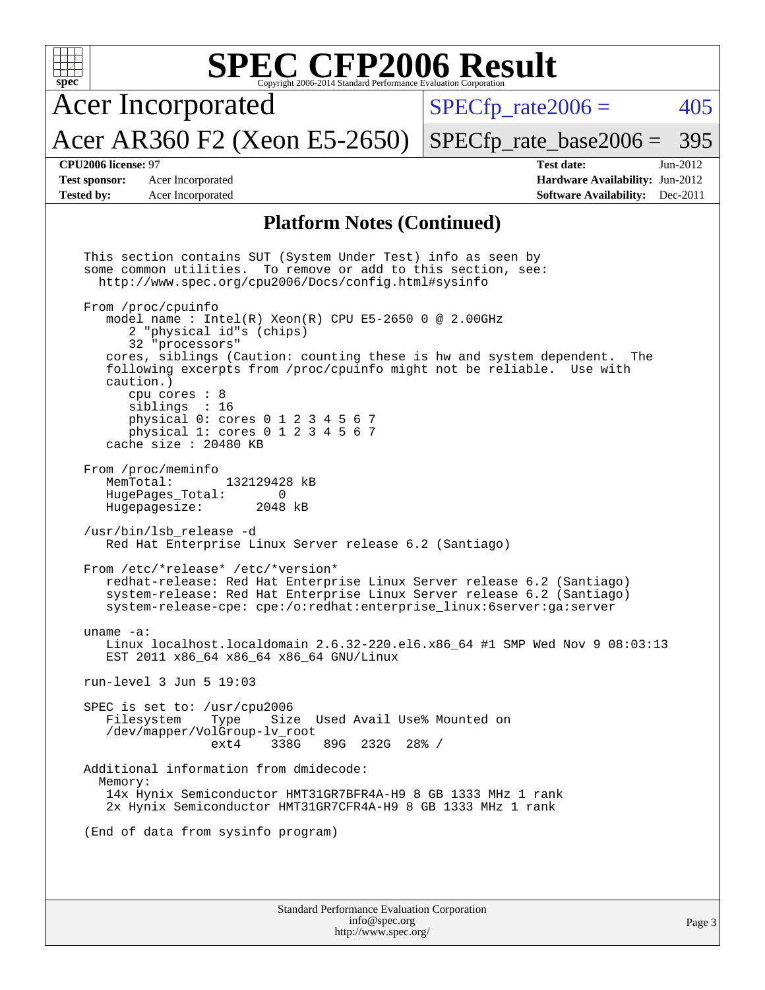| <b>SPEC CFP2006 Result</b><br>$spec^*$<br>Copyright 2006-2014 Standard Performance Evaluation Corporation |                                                                                                                                                                                                                                                                                                                                                                                                                                                                                                                                                                                                                                                                                                                                                                                                                                                                                                                                                                                                                                                                                                                                                                                                                                                                                                                                                                                     |                                                                                                            |  |  |  |  |  |  |
|-----------------------------------------------------------------------------------------------------------|-------------------------------------------------------------------------------------------------------------------------------------------------------------------------------------------------------------------------------------------------------------------------------------------------------------------------------------------------------------------------------------------------------------------------------------------------------------------------------------------------------------------------------------------------------------------------------------------------------------------------------------------------------------------------------------------------------------------------------------------------------------------------------------------------------------------------------------------------------------------------------------------------------------------------------------------------------------------------------------------------------------------------------------------------------------------------------------------------------------------------------------------------------------------------------------------------------------------------------------------------------------------------------------------------------------------------------------------------------------------------------------|------------------------------------------------------------------------------------------------------------|--|--|--|--|--|--|
|                                                                                                           | <b>Acer Incorporated</b>                                                                                                                                                                                                                                                                                                                                                                                                                                                                                                                                                                                                                                                                                                                                                                                                                                                                                                                                                                                                                                                                                                                                                                                                                                                                                                                                                            | 405<br>$SPECfp\_rate2006 =$                                                                                |  |  |  |  |  |  |
|                                                                                                           | Acer AR360 F2 (Xeon E5-2650)                                                                                                                                                                                                                                                                                                                                                                                                                                                                                                                                                                                                                                                                                                                                                                                                                                                                                                                                                                                                                                                                                                                                                                                                                                                                                                                                                        | $SPECfp\_rate\_base2006 =$<br>395                                                                          |  |  |  |  |  |  |
| CPU2006 license: 97<br><b>Test sponsor:</b><br><b>Tested by:</b>                                          | Acer Incorporated<br>Acer Incorporated                                                                                                                                                                                                                                                                                                                                                                                                                                                                                                                                                                                                                                                                                                                                                                                                                                                                                                                                                                                                                                                                                                                                                                                                                                                                                                                                              | <b>Test date:</b><br>Jun-2012<br>Hardware Availability: Jun-2012<br><b>Software Availability:</b> Dec-2011 |  |  |  |  |  |  |
| <b>Platform Notes (Continued)</b>                                                                         |                                                                                                                                                                                                                                                                                                                                                                                                                                                                                                                                                                                                                                                                                                                                                                                                                                                                                                                                                                                                                                                                                                                                                                                                                                                                                                                                                                                     |                                                                                                            |  |  |  |  |  |  |
| caution.)<br>MemTotal:<br>uname $-a$ :                                                                    | This section contains SUT (System Under Test) info as seen by<br>some common utilities.<br>To remove or add to this section, see:<br>http://www.spec.org/cpu2006/Docs/config.html#sysinfo<br>From /proc/cpuinfo<br>model name : Intel(R) Xeon(R) CPU E5-2650 0 @ 2.00GHz<br>2 "physical id"s (chips)<br>32 "processors"<br>cores, siblings (Caution: counting these is hw and system dependent.<br>following excerpts from /proc/cpuinfo might not be reliable. Use with<br>cpu cores : 8<br>siblings : 16<br>physical 0: cores 0 1 2 3 4 5 6 7<br>physical 1: cores 0 1 2 3 4 5 6 7<br>cache size : 20480 KB<br>From /proc/meminfo<br>132129428 kB<br>HugePages Total:<br>0<br>Hugepagesize:<br>2048 kB<br>/usr/bin/lsb_release -d<br>Red Hat Enterprise Linux Server release 6.2 (Santiago)<br>From /etc/*release* /etc/*version*<br>redhat-release: Red Hat Enterprise Linux Server release 6.2 (Santiago)<br>system-release: Red Hat Enterprise Linux Server release 6.2 (Santiago)<br>system-release-cpe: cpe:/o:redhat:enterprise_linux:6server:ga:server<br>Linux localhost.localdomain 2.6.32-220.el6.x86_64 #1 SMP Wed Nov 9 08:03:13<br>EST 2011 x86_64 x86_64 x86_64 GNU/Linux<br>run-level $3$ Jun $5$ 19:03<br>SPEC is set to: /usr/cpu2006<br>Filesystem<br>Type<br>Size Used Avail Use% Mounted on<br>/dev/mapper/VolGroup-lv_root<br>338G<br>89G 232G 28% /<br>ext4 | The                                                                                                        |  |  |  |  |  |  |
| Memory:                                                                                                   | Additional information from dmidecode:<br>14x Hynix Semiconductor HMT31GR7BFR4A-H9 8 GB 1333 MHz 1 rank                                                                                                                                                                                                                                                                                                                                                                                                                                                                                                                                                                                                                                                                                                                                                                                                                                                                                                                                                                                                                                                                                                                                                                                                                                                                             |                                                                                                            |  |  |  |  |  |  |
|                                                                                                           | 2x Hynix Semiconductor HMT31GR7CFR4A-H9 8 GB 1333 MHz 1 rank<br>(End of data from sysinfo program)                                                                                                                                                                                                                                                                                                                                                                                                                                                                                                                                                                                                                                                                                                                                                                                                                                                                                                                                                                                                                                                                                                                                                                                                                                                                                  |                                                                                                            |  |  |  |  |  |  |
|                                                                                                           |                                                                                                                                                                                                                                                                                                                                                                                                                                                                                                                                                                                                                                                                                                                                                                                                                                                                                                                                                                                                                                                                                                                                                                                                                                                                                                                                                                                     |                                                                                                            |  |  |  |  |  |  |
|                                                                                                           | Standard Performance Evaluation Corporation<br>info@spec.org                                                                                                                                                                                                                                                                                                                                                                                                                                                                                                                                                                                                                                                                                                                                                                                                                                                                                                                                                                                                                                                                                                                                                                                                                                                                                                                        | Page 3                                                                                                     |  |  |  |  |  |  |

<http://www.spec.org/>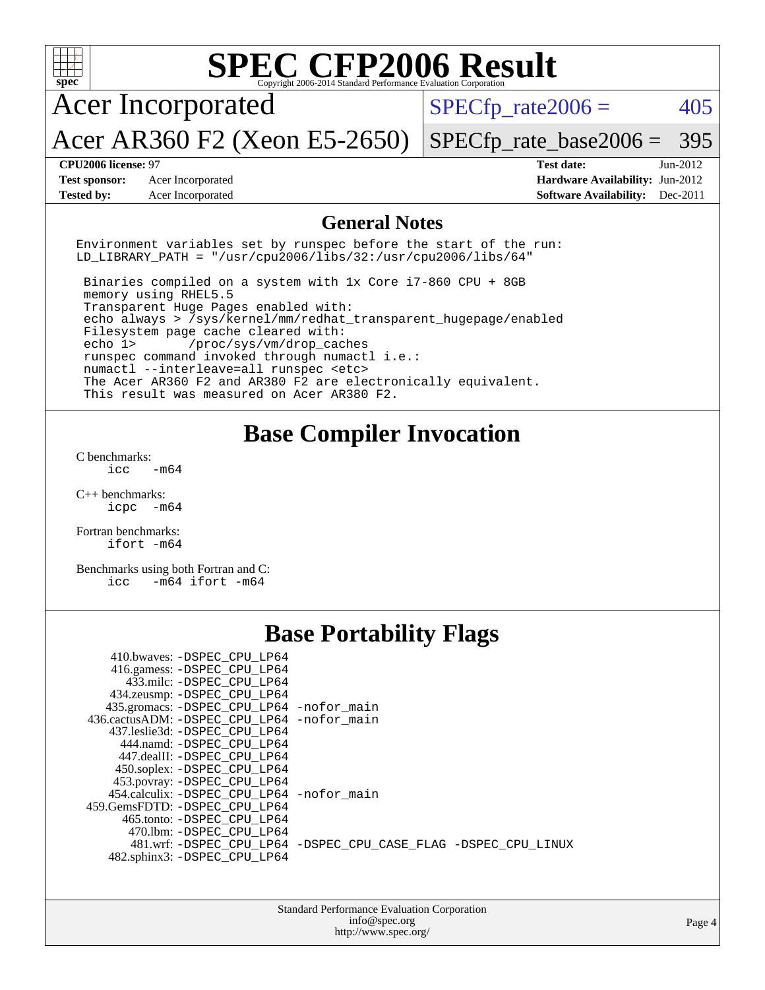| $spec^*$                                                                                                                                                                                                                                                                                                                                                                                                                                                                                                                                                                                                                     | Copyright 2006-2014 Standard Performance Evaluation Corporati                               | <b>SPEC CFP2006 Result</b>                                                                     |            |
|------------------------------------------------------------------------------------------------------------------------------------------------------------------------------------------------------------------------------------------------------------------------------------------------------------------------------------------------------------------------------------------------------------------------------------------------------------------------------------------------------------------------------------------------------------------------------------------------------------------------------|---------------------------------------------------------------------------------------------|------------------------------------------------------------------------------------------------|------------|
| <b>Acer Incorporated</b>                                                                                                                                                                                                                                                                                                                                                                                                                                                                                                                                                                                                     |                                                                                             | $SPECfp\_rate2006 =$                                                                           | 405        |
| Acer AR360 F2 (Xeon E5-2650)                                                                                                                                                                                                                                                                                                                                                                                                                                                                                                                                                                                                 |                                                                                             | $SPECfp_rate\_base2006 =$                                                                      | 395        |
| <b>CPU2006 license: 97</b><br><b>Test sponsor:</b><br>Acer Incorporated<br><b>Tested by:</b><br>Acer Incorporated                                                                                                                                                                                                                                                                                                                                                                                                                                                                                                            |                                                                                             | <b>Test date:</b><br>Hardware Availability: Jun-2012<br><b>Software Availability:</b> Dec-2011 | $Jun-2012$ |
|                                                                                                                                                                                                                                                                                                                                                                                                                                                                                                                                                                                                                              | <b>General Notes</b>                                                                        |                                                                                                |            |
| Environment variables set by runspec before the start of the run:<br>LD_LIBRARY_PATH = "/usr/cpu2006/libs/32:/usr/cpu2006/libs/64"                                                                                                                                                                                                                                                                                                                                                                                                                                                                                           |                                                                                             |                                                                                                |            |
| Binaries compiled on a system with 1x Core i7-860 CPU + 8GB<br>memory using RHEL5.5<br>Transparent Huge Pages enabled with:<br>echo always > /sys/kernel/mm/redhat_transparent_hugepage/enabled<br>Filesystem page cache cleared with:<br>echo 1><br>/proc/sys/vm/drop_caches<br>runspec command invoked through numactl i.e.:<br>numactl --interleave=all runspec <etc><br/>The Acer AR360 F2 and AR380 F2 are electronically equivalent.<br/>This result was measured on Acer AR380 F2.</etc>                                                                                                                              |                                                                                             |                                                                                                |            |
| C benchmarks:<br>icc<br>$-m64$<br>$C_{++}$ benchmarks:<br>icpc<br>-m64<br>Fortran benchmarks:<br>ifort -m64<br>Benchmarks using both Fortran and C:<br>$-m64$ ifort $-m64$<br>icc                                                                                                                                                                                                                                                                                                                                                                                                                                            | <b>Base Compiler Invocation</b>                                                             |                                                                                                |            |
|                                                                                                                                                                                                                                                                                                                                                                                                                                                                                                                                                                                                                              | <b>Base Portability Flags</b>                                                               |                                                                                                |            |
| 410.bwaves: - DSPEC CPU LP64<br>416.gamess: -DSPEC_CPU_LP64<br>433.milc: -DSPEC_CPU_LP64<br>434.zeusmp: - DSPEC CPU LP64<br>435.gromacs: -DSPEC_CPU_LP64 -nofor_main<br>436.cactusADM: - DSPEC CPU LP64 - nofor main<br>437.leslie3d: -DSPEC_CPU_LP64<br>444.namd: - DSPEC_CPU_LP64<br>447.dealII: -DSPEC_CPU_LP64<br>450.soplex: -DSPEC_CPU_LP64<br>453.povray: -DSPEC_CPU_LP64<br>454.calculix: -DSPEC_CPU_LP64 -nofor_main<br>459.GemsFDTD: - DSPEC_CPU_LP64<br>465.tonto: - DSPEC_CPU_LP64<br>470.1bm: -DSPEC_CPU_LP64<br>481.wrf: -DSPEC_CPU_LP64 -DSPEC_CPU_CASE_FLAG -DSPEC_CPU_LINUX<br>482.sphinx3: -DSPEC_CPU_LP64 |                                                                                             |                                                                                                |            |
|                                                                                                                                                                                                                                                                                                                                                                                                                                                                                                                                                                                                                              | <b>Standard Performance Evaluation Corporation</b><br>info@spec.org<br>http://www.spec.org/ |                                                                                                | Page 4     |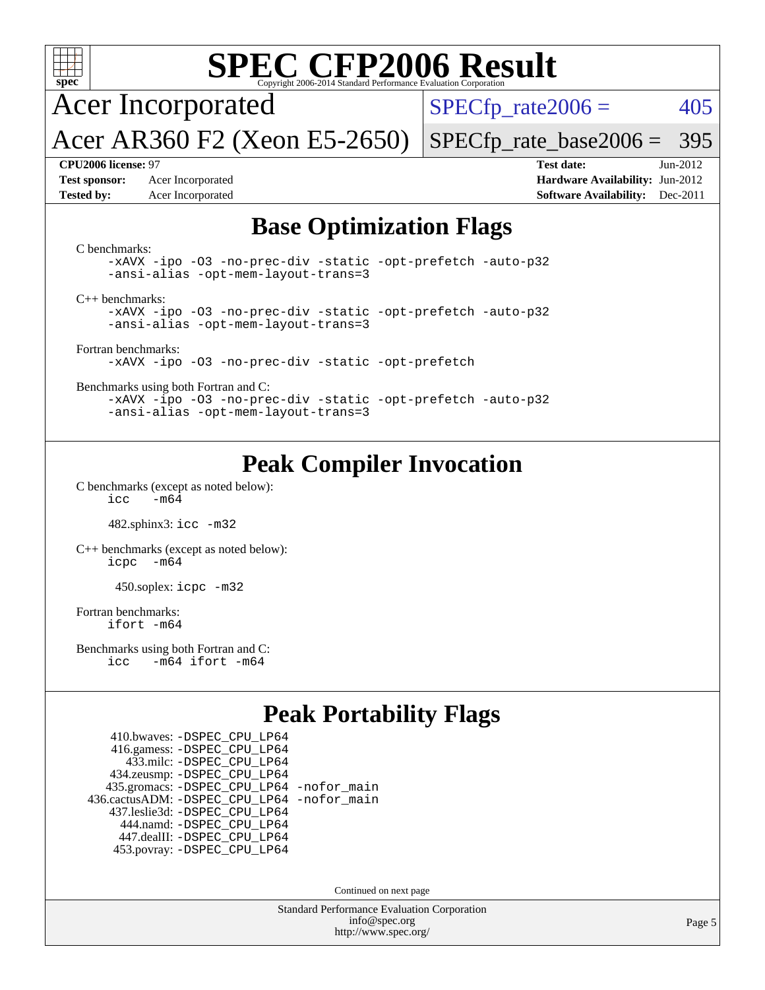

# **[SPEC CFP2006 Result](http://www.spec.org/auto/cpu2006/Docs/result-fields.html#SPECCFP2006Result)**

Acer Incorporated

 $SPECTp_rate2006 = 405$ 

Acer AR360 F2 (Xeon E5-2650) [SPECfp\\_rate\\_base2006 =](http://www.spec.org/auto/cpu2006/Docs/result-fields.html#SPECfpratebase2006) 395

**[Test sponsor:](http://www.spec.org/auto/cpu2006/Docs/result-fields.html#Testsponsor)** Acer Incorporated **[Hardware Availability:](http://www.spec.org/auto/cpu2006/Docs/result-fields.html#HardwareAvailability)** Jun-2012

**[CPU2006 license:](http://www.spec.org/auto/cpu2006/Docs/result-fields.html#CPU2006license)** 97 **[Test date:](http://www.spec.org/auto/cpu2006/Docs/result-fields.html#Testdate)** Jun-2012 **[Tested by:](http://www.spec.org/auto/cpu2006/Docs/result-fields.html#Testedby)** Acer Incorporated **[Software Availability:](http://www.spec.org/auto/cpu2006/Docs/result-fields.html#SoftwareAvailability)** Dec-2011

#### **[Base Optimization Flags](http://www.spec.org/auto/cpu2006/Docs/result-fields.html#BaseOptimizationFlags)**

[C benchmarks](http://www.spec.org/auto/cpu2006/Docs/result-fields.html#Cbenchmarks): [-xAVX](http://www.spec.org/cpu2006/results/res2012q3/cpu2006-20120610-22845.flags.html#user_CCbase_f-xAVX) [-ipo](http://www.spec.org/cpu2006/results/res2012q3/cpu2006-20120610-22845.flags.html#user_CCbase_f-ipo) [-O3](http://www.spec.org/cpu2006/results/res2012q3/cpu2006-20120610-22845.flags.html#user_CCbase_f-O3) [-no-prec-div](http://www.spec.org/cpu2006/results/res2012q3/cpu2006-20120610-22845.flags.html#user_CCbase_f-no-prec-div) [-static](http://www.spec.org/cpu2006/results/res2012q3/cpu2006-20120610-22845.flags.html#user_CCbase_f-static) [-opt-prefetch](http://www.spec.org/cpu2006/results/res2012q3/cpu2006-20120610-22845.flags.html#user_CCbase_f-opt-prefetch) [-auto-p32](http://www.spec.org/cpu2006/results/res2012q3/cpu2006-20120610-22845.flags.html#user_CCbase_f-auto-p32) [-ansi-alias](http://www.spec.org/cpu2006/results/res2012q3/cpu2006-20120610-22845.flags.html#user_CCbase_f-ansi-alias) [-opt-mem-layout-trans=3](http://www.spec.org/cpu2006/results/res2012q3/cpu2006-20120610-22845.flags.html#user_CCbase_f-opt-mem-layout-trans_a7b82ad4bd7abf52556d4961a2ae94d5) [C++ benchmarks:](http://www.spec.org/auto/cpu2006/Docs/result-fields.html#CXXbenchmarks) [-xAVX](http://www.spec.org/cpu2006/results/res2012q3/cpu2006-20120610-22845.flags.html#user_CXXbase_f-xAVX) [-ipo](http://www.spec.org/cpu2006/results/res2012q3/cpu2006-20120610-22845.flags.html#user_CXXbase_f-ipo) [-O3](http://www.spec.org/cpu2006/results/res2012q3/cpu2006-20120610-22845.flags.html#user_CXXbase_f-O3) [-no-prec-div](http://www.spec.org/cpu2006/results/res2012q3/cpu2006-20120610-22845.flags.html#user_CXXbase_f-no-prec-div) [-static](http://www.spec.org/cpu2006/results/res2012q3/cpu2006-20120610-22845.flags.html#user_CXXbase_f-static) [-opt-prefetch](http://www.spec.org/cpu2006/results/res2012q3/cpu2006-20120610-22845.flags.html#user_CXXbase_f-opt-prefetch) [-auto-p32](http://www.spec.org/cpu2006/results/res2012q3/cpu2006-20120610-22845.flags.html#user_CXXbase_f-auto-p32) [-ansi-alias](http://www.spec.org/cpu2006/results/res2012q3/cpu2006-20120610-22845.flags.html#user_CXXbase_f-ansi-alias) [-opt-mem-layout-trans=3](http://www.spec.org/cpu2006/results/res2012q3/cpu2006-20120610-22845.flags.html#user_CXXbase_f-opt-mem-layout-trans_a7b82ad4bd7abf52556d4961a2ae94d5) [Fortran benchmarks](http://www.spec.org/auto/cpu2006/Docs/result-fields.html#Fortranbenchmarks): [-xAVX](http://www.spec.org/cpu2006/results/res2012q3/cpu2006-20120610-22845.flags.html#user_FCbase_f-xAVX) [-ipo](http://www.spec.org/cpu2006/results/res2012q3/cpu2006-20120610-22845.flags.html#user_FCbase_f-ipo) [-O3](http://www.spec.org/cpu2006/results/res2012q3/cpu2006-20120610-22845.flags.html#user_FCbase_f-O3) [-no-prec-div](http://www.spec.org/cpu2006/results/res2012q3/cpu2006-20120610-22845.flags.html#user_FCbase_f-no-prec-div) [-static](http://www.spec.org/cpu2006/results/res2012q3/cpu2006-20120610-22845.flags.html#user_FCbase_f-static) [-opt-prefetch](http://www.spec.org/cpu2006/results/res2012q3/cpu2006-20120610-22845.flags.html#user_FCbase_f-opt-prefetch) [Benchmarks using both Fortran and C](http://www.spec.org/auto/cpu2006/Docs/result-fields.html#BenchmarksusingbothFortranandC): [-xAVX](http://www.spec.org/cpu2006/results/res2012q3/cpu2006-20120610-22845.flags.html#user_CC_FCbase_f-xAVX) [-ipo](http://www.spec.org/cpu2006/results/res2012q3/cpu2006-20120610-22845.flags.html#user_CC_FCbase_f-ipo) [-O3](http://www.spec.org/cpu2006/results/res2012q3/cpu2006-20120610-22845.flags.html#user_CC_FCbase_f-O3) [-no-prec-div](http://www.spec.org/cpu2006/results/res2012q3/cpu2006-20120610-22845.flags.html#user_CC_FCbase_f-no-prec-div) [-static](http://www.spec.org/cpu2006/results/res2012q3/cpu2006-20120610-22845.flags.html#user_CC_FCbase_f-static) [-opt-prefetch](http://www.spec.org/cpu2006/results/res2012q3/cpu2006-20120610-22845.flags.html#user_CC_FCbase_f-opt-prefetch) [-auto-p32](http://www.spec.org/cpu2006/results/res2012q3/cpu2006-20120610-22845.flags.html#user_CC_FCbase_f-auto-p32) [-ansi-alias](http://www.spec.org/cpu2006/results/res2012q3/cpu2006-20120610-22845.flags.html#user_CC_FCbase_f-ansi-alias) [-opt-mem-layout-trans=3](http://www.spec.org/cpu2006/results/res2012q3/cpu2006-20120610-22845.flags.html#user_CC_FCbase_f-opt-mem-layout-trans_a7b82ad4bd7abf52556d4961a2ae94d5)

## **[Peak Compiler Invocation](http://www.spec.org/auto/cpu2006/Docs/result-fields.html#PeakCompilerInvocation)**

[C benchmarks \(except as noted below\)](http://www.spec.org/auto/cpu2006/Docs/result-fields.html#Cbenchmarksexceptasnotedbelow):  $\text{icc}$  -m64

482.sphinx3: [icc -m32](http://www.spec.org/cpu2006/results/res2012q3/cpu2006-20120610-22845.flags.html#user_peakCCLD482_sphinx3_intel_icc_a6a621f8d50482236b970c6ac5f55f93)

[C++ benchmarks \(except as noted below\):](http://www.spec.org/auto/cpu2006/Docs/result-fields.html#CXXbenchmarksexceptasnotedbelow) [icpc -m64](http://www.spec.org/cpu2006/results/res2012q3/cpu2006-20120610-22845.flags.html#user_CXXpeak_intel_icpc_64bit_bedb90c1146cab66620883ef4f41a67e)

450.soplex: [icpc -m32](http://www.spec.org/cpu2006/results/res2012q3/cpu2006-20120610-22845.flags.html#user_peakCXXLD450_soplex_intel_icpc_4e5a5ef1a53fd332b3c49e69c3330699)

[Fortran benchmarks](http://www.spec.org/auto/cpu2006/Docs/result-fields.html#Fortranbenchmarks): [ifort -m64](http://www.spec.org/cpu2006/results/res2012q3/cpu2006-20120610-22845.flags.html#user_FCpeak_intel_ifort_64bit_ee9d0fb25645d0210d97eb0527dcc06e)

[Benchmarks using both Fortran and C](http://www.spec.org/auto/cpu2006/Docs/result-fields.html#BenchmarksusingbothFortranandC): [icc -m64](http://www.spec.org/cpu2006/results/res2012q3/cpu2006-20120610-22845.flags.html#user_CC_FCpeak_intel_icc_64bit_0b7121f5ab7cfabee23d88897260401c) [ifort -m64](http://www.spec.org/cpu2006/results/res2012q3/cpu2006-20120610-22845.flags.html#user_CC_FCpeak_intel_ifort_64bit_ee9d0fb25645d0210d97eb0527dcc06e)

### **[Peak Portability Flags](http://www.spec.org/auto/cpu2006/Docs/result-fields.html#PeakPortabilityFlags)**

 410.bwaves: [-DSPEC\\_CPU\\_LP64](http://www.spec.org/cpu2006/results/res2012q3/cpu2006-20120610-22845.flags.html#suite_peakPORTABILITY410_bwaves_DSPEC_CPU_LP64) 416.gamess: [-DSPEC\\_CPU\\_LP64](http://www.spec.org/cpu2006/results/res2012q3/cpu2006-20120610-22845.flags.html#suite_peakPORTABILITY416_gamess_DSPEC_CPU_LP64) 433.milc: [-DSPEC\\_CPU\\_LP64](http://www.spec.org/cpu2006/results/res2012q3/cpu2006-20120610-22845.flags.html#suite_peakPORTABILITY433_milc_DSPEC_CPU_LP64) 434.zeusmp: [-DSPEC\\_CPU\\_LP64](http://www.spec.org/cpu2006/results/res2012q3/cpu2006-20120610-22845.flags.html#suite_peakPORTABILITY434_zeusmp_DSPEC_CPU_LP64) 435.gromacs: [-DSPEC\\_CPU\\_LP64](http://www.spec.org/cpu2006/results/res2012q3/cpu2006-20120610-22845.flags.html#suite_peakPORTABILITY435_gromacs_DSPEC_CPU_LP64) [-nofor\\_main](http://www.spec.org/cpu2006/results/res2012q3/cpu2006-20120610-22845.flags.html#user_peakLDPORTABILITY435_gromacs_f-nofor_main) 436.cactusADM: [-DSPEC\\_CPU\\_LP64](http://www.spec.org/cpu2006/results/res2012q3/cpu2006-20120610-22845.flags.html#suite_peakPORTABILITY436_cactusADM_DSPEC_CPU_LP64) [-nofor\\_main](http://www.spec.org/cpu2006/results/res2012q3/cpu2006-20120610-22845.flags.html#user_peakLDPORTABILITY436_cactusADM_f-nofor_main) 437.leslie3d: [-DSPEC\\_CPU\\_LP64](http://www.spec.org/cpu2006/results/res2012q3/cpu2006-20120610-22845.flags.html#suite_peakPORTABILITY437_leslie3d_DSPEC_CPU_LP64) 444.namd: [-DSPEC\\_CPU\\_LP64](http://www.spec.org/cpu2006/results/res2012q3/cpu2006-20120610-22845.flags.html#suite_peakPORTABILITY444_namd_DSPEC_CPU_LP64) 447.dealII: [-DSPEC\\_CPU\\_LP64](http://www.spec.org/cpu2006/results/res2012q3/cpu2006-20120610-22845.flags.html#suite_peakPORTABILITY447_dealII_DSPEC_CPU_LP64) 453.povray: [-DSPEC\\_CPU\\_LP64](http://www.spec.org/cpu2006/results/res2012q3/cpu2006-20120610-22845.flags.html#suite_peakPORTABILITY453_povray_DSPEC_CPU_LP64)

Continued on next page

Standard Performance Evaluation Corporation [info@spec.org](mailto:info@spec.org) <http://www.spec.org/>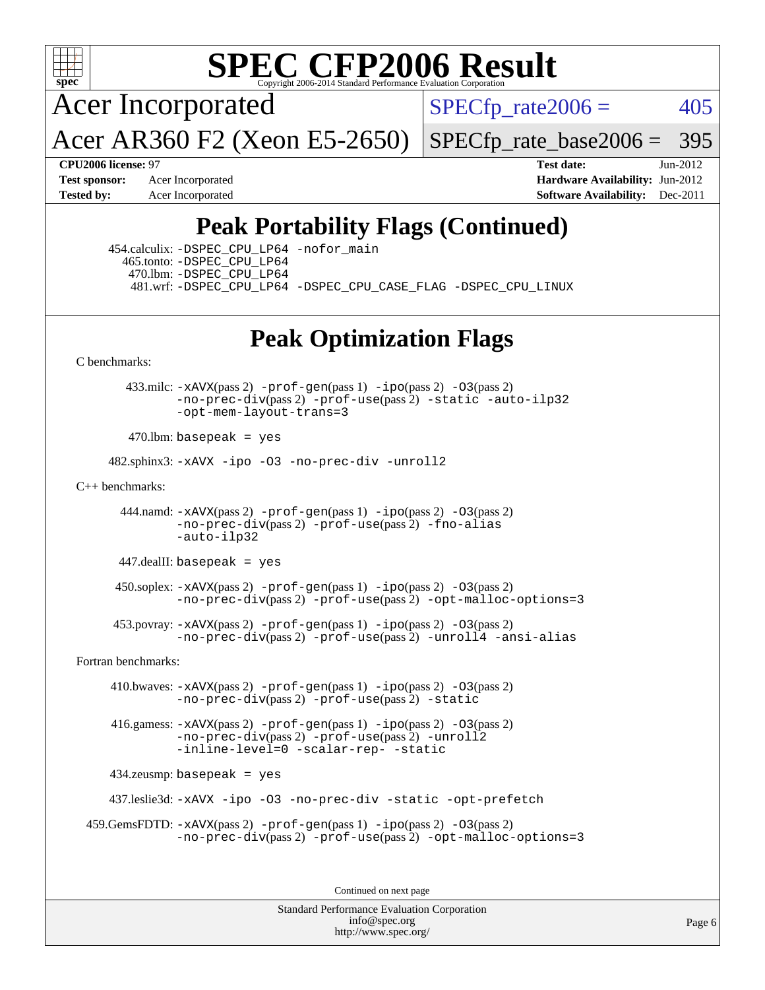

# **[SPEC CFP2006 Result](http://www.spec.org/auto/cpu2006/Docs/result-fields.html#SPECCFP2006Result)**

Acer Incorporated

 $SPECTp_rate2006 = 405$ 

Acer AR360 F2 (Xeon E5-2650)

[SPECfp\\_rate\\_base2006 =](http://www.spec.org/auto/cpu2006/Docs/result-fields.html#SPECfpratebase2006) 395

**[CPU2006 license:](http://www.spec.org/auto/cpu2006/Docs/result-fields.html#CPU2006license)** 97 **[Test date:](http://www.spec.org/auto/cpu2006/Docs/result-fields.html#Testdate)** Jun-2012 **[Test sponsor:](http://www.spec.org/auto/cpu2006/Docs/result-fields.html#Testsponsor)** Acer Incorporated **[Hardware Availability:](http://www.spec.org/auto/cpu2006/Docs/result-fields.html#HardwareAvailability)** Jun-2012 **[Tested by:](http://www.spec.org/auto/cpu2006/Docs/result-fields.html#Testedby)** Acer Incorporated **[Software Availability:](http://www.spec.org/auto/cpu2006/Docs/result-fields.html#SoftwareAvailability)** Dec-2011

# **[Peak Portability Flags \(Continued\)](http://www.spec.org/auto/cpu2006/Docs/result-fields.html#PeakPortabilityFlags)**

 454.calculix: [-DSPEC\\_CPU\\_LP64](http://www.spec.org/cpu2006/results/res2012q3/cpu2006-20120610-22845.flags.html#suite_peakPORTABILITY454_calculix_DSPEC_CPU_LP64) [-nofor\\_main](http://www.spec.org/cpu2006/results/res2012q3/cpu2006-20120610-22845.flags.html#user_peakLDPORTABILITY454_calculix_f-nofor_main) 465.tonto: [-DSPEC\\_CPU\\_LP64](http://www.spec.org/cpu2006/results/res2012q3/cpu2006-20120610-22845.flags.html#suite_peakPORTABILITY465_tonto_DSPEC_CPU_LP64) 470.lbm: [-DSPEC\\_CPU\\_LP64](http://www.spec.org/cpu2006/results/res2012q3/cpu2006-20120610-22845.flags.html#suite_peakPORTABILITY470_lbm_DSPEC_CPU_LP64) 481.wrf: [-DSPEC\\_CPU\\_LP64](http://www.spec.org/cpu2006/results/res2012q3/cpu2006-20120610-22845.flags.html#suite_peakPORTABILITY481_wrf_DSPEC_CPU_LP64) [-DSPEC\\_CPU\\_CASE\\_FLAG](http://www.spec.org/cpu2006/results/res2012q3/cpu2006-20120610-22845.flags.html#b481.wrf_peakCPORTABILITY_DSPEC_CPU_CASE_FLAG) [-DSPEC\\_CPU\\_LINUX](http://www.spec.org/cpu2006/results/res2012q3/cpu2006-20120610-22845.flags.html#b481.wrf_peakCPORTABILITY_DSPEC_CPU_LINUX)

## **[Peak Optimization Flags](http://www.spec.org/auto/cpu2006/Docs/result-fields.html#PeakOptimizationFlags)**

[C benchmarks](http://www.spec.org/auto/cpu2006/Docs/result-fields.html#Cbenchmarks):

 433.milc: [-xAVX](http://www.spec.org/cpu2006/results/res2012q3/cpu2006-20120610-22845.flags.html#user_peakPASS2_CFLAGSPASS2_LDFLAGS433_milc_f-xAVX)(pass 2) [-prof-gen](http://www.spec.org/cpu2006/results/res2012q3/cpu2006-20120610-22845.flags.html#user_peakPASS1_CFLAGSPASS1_LDFLAGS433_milc_prof_gen_e43856698f6ca7b7e442dfd80e94a8fc)(pass 1) [-ipo](http://www.spec.org/cpu2006/results/res2012q3/cpu2006-20120610-22845.flags.html#user_peakPASS2_CFLAGSPASS2_LDFLAGS433_milc_f-ipo)(pass 2) [-O3](http://www.spec.org/cpu2006/results/res2012q3/cpu2006-20120610-22845.flags.html#user_peakPASS2_CFLAGSPASS2_LDFLAGS433_milc_f-O3)(pass 2) [-no-prec-div](http://www.spec.org/cpu2006/results/res2012q3/cpu2006-20120610-22845.flags.html#user_peakPASS2_CFLAGSPASS2_LDFLAGS433_milc_f-no-prec-div)(pass 2) [-prof-use](http://www.spec.org/cpu2006/results/res2012q3/cpu2006-20120610-22845.flags.html#user_peakPASS2_CFLAGSPASS2_LDFLAGS433_milc_prof_use_bccf7792157ff70d64e32fe3e1250b55)(pass 2) [-static](http://www.spec.org/cpu2006/results/res2012q3/cpu2006-20120610-22845.flags.html#user_peakOPTIMIZE433_milc_f-static) [-auto-ilp32](http://www.spec.org/cpu2006/results/res2012q3/cpu2006-20120610-22845.flags.html#user_peakCOPTIMIZE433_milc_f-auto-ilp32) [-opt-mem-layout-trans=3](http://www.spec.org/cpu2006/results/res2012q3/cpu2006-20120610-22845.flags.html#user_peakCOPTIMIZE433_milc_f-opt-mem-layout-trans_a7b82ad4bd7abf52556d4961a2ae94d5)

 $470$ .lbm: basepeak = yes

482.sphinx3: [-xAVX](http://www.spec.org/cpu2006/results/res2012q3/cpu2006-20120610-22845.flags.html#user_peakOPTIMIZE482_sphinx3_f-xAVX) [-ipo](http://www.spec.org/cpu2006/results/res2012q3/cpu2006-20120610-22845.flags.html#user_peakOPTIMIZE482_sphinx3_f-ipo) [-O3](http://www.spec.org/cpu2006/results/res2012q3/cpu2006-20120610-22845.flags.html#user_peakOPTIMIZE482_sphinx3_f-O3) [-no-prec-div](http://www.spec.org/cpu2006/results/res2012q3/cpu2006-20120610-22845.flags.html#user_peakOPTIMIZE482_sphinx3_f-no-prec-div) [-unroll2](http://www.spec.org/cpu2006/results/res2012q3/cpu2006-20120610-22845.flags.html#user_peakCOPTIMIZE482_sphinx3_f-unroll_784dae83bebfb236979b41d2422d7ec2)

[C++ benchmarks:](http://www.spec.org/auto/cpu2006/Docs/result-fields.html#CXXbenchmarks)

 444.namd: [-xAVX](http://www.spec.org/cpu2006/results/res2012q3/cpu2006-20120610-22845.flags.html#user_peakPASS2_CXXFLAGSPASS2_LDFLAGS444_namd_f-xAVX)(pass 2) [-prof-gen](http://www.spec.org/cpu2006/results/res2012q3/cpu2006-20120610-22845.flags.html#user_peakPASS1_CXXFLAGSPASS1_LDFLAGS444_namd_prof_gen_e43856698f6ca7b7e442dfd80e94a8fc)(pass 1) [-ipo](http://www.spec.org/cpu2006/results/res2012q3/cpu2006-20120610-22845.flags.html#user_peakPASS2_CXXFLAGSPASS2_LDFLAGS444_namd_f-ipo)(pass 2) [-O3](http://www.spec.org/cpu2006/results/res2012q3/cpu2006-20120610-22845.flags.html#user_peakPASS2_CXXFLAGSPASS2_LDFLAGS444_namd_f-O3)(pass 2) [-no-prec-div](http://www.spec.org/cpu2006/results/res2012q3/cpu2006-20120610-22845.flags.html#user_peakPASS2_CXXFLAGSPASS2_LDFLAGS444_namd_f-no-prec-div)(pass 2) [-prof-use](http://www.spec.org/cpu2006/results/res2012q3/cpu2006-20120610-22845.flags.html#user_peakPASS2_CXXFLAGSPASS2_LDFLAGS444_namd_prof_use_bccf7792157ff70d64e32fe3e1250b55)(pass 2) [-fno-alias](http://www.spec.org/cpu2006/results/res2012q3/cpu2006-20120610-22845.flags.html#user_peakCXXOPTIMIZE444_namd_f-no-alias_694e77f6c5a51e658e82ccff53a9e63a) [-auto-ilp32](http://www.spec.org/cpu2006/results/res2012q3/cpu2006-20120610-22845.flags.html#user_peakCXXOPTIMIZE444_namd_f-auto-ilp32)

447.dealII: basepeak = yes

 $450$ .soplex:  $-x$ AVX(pass 2)  $-p$ rof-gen(pass 1)  $-i$ po(pass 2)  $-03$ (pass 2) [-no-prec-div](http://www.spec.org/cpu2006/results/res2012q3/cpu2006-20120610-22845.flags.html#user_peakPASS2_CXXFLAGSPASS2_LDFLAGS450_soplex_f-no-prec-div)(pass 2) [-prof-use](http://www.spec.org/cpu2006/results/res2012q3/cpu2006-20120610-22845.flags.html#user_peakPASS2_CXXFLAGSPASS2_LDFLAGS450_soplex_prof_use_bccf7792157ff70d64e32fe3e1250b55)(pass 2) [-opt-malloc-options=3](http://www.spec.org/cpu2006/results/res2012q3/cpu2006-20120610-22845.flags.html#user_peakOPTIMIZE450_soplex_f-opt-malloc-options_13ab9b803cf986b4ee62f0a5998c2238)

 453.povray: [-xAVX](http://www.spec.org/cpu2006/results/res2012q3/cpu2006-20120610-22845.flags.html#user_peakPASS2_CXXFLAGSPASS2_LDFLAGS453_povray_f-xAVX)(pass 2) [-prof-gen](http://www.spec.org/cpu2006/results/res2012q3/cpu2006-20120610-22845.flags.html#user_peakPASS1_CXXFLAGSPASS1_LDFLAGS453_povray_prof_gen_e43856698f6ca7b7e442dfd80e94a8fc)(pass 1) [-ipo](http://www.spec.org/cpu2006/results/res2012q3/cpu2006-20120610-22845.flags.html#user_peakPASS2_CXXFLAGSPASS2_LDFLAGS453_povray_f-ipo)(pass 2) [-O3](http://www.spec.org/cpu2006/results/res2012q3/cpu2006-20120610-22845.flags.html#user_peakPASS2_CXXFLAGSPASS2_LDFLAGS453_povray_f-O3)(pass 2) [-no-prec-div](http://www.spec.org/cpu2006/results/res2012q3/cpu2006-20120610-22845.flags.html#user_peakPASS2_CXXFLAGSPASS2_LDFLAGS453_povray_f-no-prec-div)(pass 2) [-prof-use](http://www.spec.org/cpu2006/results/res2012q3/cpu2006-20120610-22845.flags.html#user_peakPASS2_CXXFLAGSPASS2_LDFLAGS453_povray_prof_use_bccf7792157ff70d64e32fe3e1250b55)(pass 2) [-unroll4](http://www.spec.org/cpu2006/results/res2012q3/cpu2006-20120610-22845.flags.html#user_peakCXXOPTIMIZE453_povray_f-unroll_4e5e4ed65b7fd20bdcd365bec371b81f) [-ansi-alias](http://www.spec.org/cpu2006/results/res2012q3/cpu2006-20120610-22845.flags.html#user_peakCXXOPTIMIZE453_povray_f-ansi-alias)

[Fortran benchmarks](http://www.spec.org/auto/cpu2006/Docs/result-fields.html#Fortranbenchmarks):

 410.bwaves: [-xAVX](http://www.spec.org/cpu2006/results/res2012q3/cpu2006-20120610-22845.flags.html#user_peakPASS2_FFLAGSPASS2_LDFLAGS410_bwaves_f-xAVX)(pass 2) [-prof-gen](http://www.spec.org/cpu2006/results/res2012q3/cpu2006-20120610-22845.flags.html#user_peakPASS1_FFLAGSPASS1_LDFLAGS410_bwaves_prof_gen_e43856698f6ca7b7e442dfd80e94a8fc)(pass 1) [-ipo](http://www.spec.org/cpu2006/results/res2012q3/cpu2006-20120610-22845.flags.html#user_peakPASS2_FFLAGSPASS2_LDFLAGS410_bwaves_f-ipo)(pass 2) [-O3](http://www.spec.org/cpu2006/results/res2012q3/cpu2006-20120610-22845.flags.html#user_peakPASS2_FFLAGSPASS2_LDFLAGS410_bwaves_f-O3)(pass 2) [-no-prec-div](http://www.spec.org/cpu2006/results/res2012q3/cpu2006-20120610-22845.flags.html#user_peakPASS2_FFLAGSPASS2_LDFLAGS410_bwaves_f-no-prec-div)(pass 2) [-prof-use](http://www.spec.org/cpu2006/results/res2012q3/cpu2006-20120610-22845.flags.html#user_peakPASS2_FFLAGSPASS2_LDFLAGS410_bwaves_prof_use_bccf7792157ff70d64e32fe3e1250b55)(pass 2) [-static](http://www.spec.org/cpu2006/results/res2012q3/cpu2006-20120610-22845.flags.html#user_peakOPTIMIZE410_bwaves_f-static)

 416.gamess: [-xAVX](http://www.spec.org/cpu2006/results/res2012q3/cpu2006-20120610-22845.flags.html#user_peakPASS2_FFLAGSPASS2_LDFLAGS416_gamess_f-xAVX)(pass 2) [-prof-gen](http://www.spec.org/cpu2006/results/res2012q3/cpu2006-20120610-22845.flags.html#user_peakPASS1_FFLAGSPASS1_LDFLAGS416_gamess_prof_gen_e43856698f6ca7b7e442dfd80e94a8fc)(pass 1) [-ipo](http://www.spec.org/cpu2006/results/res2012q3/cpu2006-20120610-22845.flags.html#user_peakPASS2_FFLAGSPASS2_LDFLAGS416_gamess_f-ipo)(pass 2) [-O3](http://www.spec.org/cpu2006/results/res2012q3/cpu2006-20120610-22845.flags.html#user_peakPASS2_FFLAGSPASS2_LDFLAGS416_gamess_f-O3)(pass 2)  $-$ no-prec-div $(pass 2)$  [-prof-use](http://www.spec.org/cpu2006/results/res2012q3/cpu2006-20120610-22845.flags.html#user_peakPASS2_FFLAGSPASS2_LDFLAGS416_gamess_prof_use_bccf7792157ff70d64e32fe3e1250b55) $(pass 2)$  -unroll<sup>2</sup> [-inline-level=0](http://www.spec.org/cpu2006/results/res2012q3/cpu2006-20120610-22845.flags.html#user_peakOPTIMIZE416_gamess_f-inline-level_318d07a09274ad25e8d15dbfaa68ba50) [-scalar-rep-](http://www.spec.org/cpu2006/results/res2012q3/cpu2006-20120610-22845.flags.html#user_peakOPTIMIZE416_gamess_f-disablescalarrep_abbcad04450fb118e4809c81d83c8a1d) [-static](http://www.spec.org/cpu2006/results/res2012q3/cpu2006-20120610-22845.flags.html#user_peakOPTIMIZE416_gamess_f-static)

434.zeusmp: basepeak = yes

437.leslie3d: [-xAVX](http://www.spec.org/cpu2006/results/res2012q3/cpu2006-20120610-22845.flags.html#user_peakOPTIMIZE437_leslie3d_f-xAVX) [-ipo](http://www.spec.org/cpu2006/results/res2012q3/cpu2006-20120610-22845.flags.html#user_peakOPTIMIZE437_leslie3d_f-ipo) [-O3](http://www.spec.org/cpu2006/results/res2012q3/cpu2006-20120610-22845.flags.html#user_peakOPTIMIZE437_leslie3d_f-O3) [-no-prec-div](http://www.spec.org/cpu2006/results/res2012q3/cpu2006-20120610-22845.flags.html#user_peakOPTIMIZE437_leslie3d_f-no-prec-div) [-static](http://www.spec.org/cpu2006/results/res2012q3/cpu2006-20120610-22845.flags.html#user_peakOPTIMIZE437_leslie3d_f-static) [-opt-prefetch](http://www.spec.org/cpu2006/results/res2012q3/cpu2006-20120610-22845.flags.html#user_peakOPTIMIZE437_leslie3d_f-opt-prefetch)

```
 459.GemsFDTD: -xAVX(pass 2) -prof-gen(pass 1) -ipo(pass 2) -O3(pass 2)
  -no-prec-div(pass 2) -prof-use(pass 2) -opt-malloc-options=3
```
Continued on next page

Standard Performance Evaluation Corporation [info@spec.org](mailto:info@spec.org) <http://www.spec.org/>